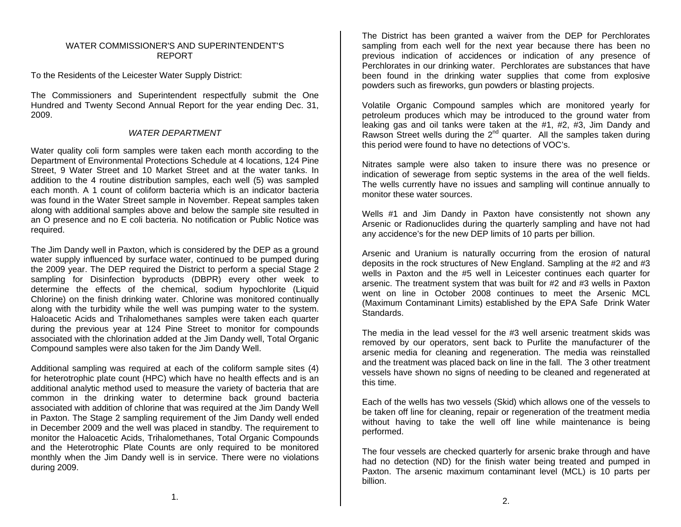## WATER COMMISSIONER'S AND SUPERINTENDENT'SREPORT

To the Residents of the Leicester Water Supply District:

The Commissioners and Superintendent respectfully submit the One Hundred and Twenty Second Annual Report for the year ending Dec. 31, 2009.

## *WATER DEPARTMENT*

Water quality coli form samples were taken each month according to the Department of Environmental Protections Schedule at 4 locations, 124 Pine Street, 9 Water Street and 10 Market Street and at the water tanks. In addition to the 4 routine distribution samples, each well (5) was sampled each month. A 1 count of coliform bacteria which is an indicator bacteria was found in the Water Street sample in November. Repeat samples taken along with additional samples above and below the sample site resulted in an O presence and no E coli bacteria. No notification or Public Notice was required.

The Jim Dandy well in Paxton, which is considered by the DEP as a ground water supply influenced by surface water, continued to be pumped during the 2009 year. The DEP required the District to perform a special Stage 2 sampling for Disinfection byproducts (DBPR) every other week to determine the effects of the chemical, sodium hypochlorite (Liquid Chlorine) on the finish drinking water. Chlorine was monitored continually along with the turbidity while the well was pumping water to the system. Haloacetic Acids and Trihalomethanes samples were taken each quarter during the previous year at 124 Pine Street to monitor for compounds associated with the chlorination added at the Jim Dandy well, Total Organic Compound samples were also taken for the Jim Dandy Well.

Additional sampling was required at each of the coliform sample sites (4) for heterotrophic plate count (HPC) which have no health effects and is an additional analytic method used to measure the variety of bacteria that are common in the drinking water to determine back ground bacteria associated with addition of chlorine that was required at the Jim Dandy Well in Paxton. The Stage 2 sampling requirement of the Jim Dandy well ended in December 2009 and the well was placed in standby. The requirement to monitor the Haloacetic Acids, Trihalomethanes, Total Organic Compounds and the Heterotrophic Plate Counts are only required to be monitored monthly when the Jim Dandy well is in service. There were no violations during 2009.

The District has been granted a waiver from the DEP for Perchlorates sampling from each well for the next year because there has been no previous indication of accidences or indication of any presence of Perchlorates in our drinking water. Perchlorates are substances that have been found in the drinking water supplies that come from explosive powders such as fireworks, gun powders or blasting projects.

Volatile Organic Compound samples which are monitored yearly for petroleum produces which may be introduced to the ground water from leaking gas and oil tanks were taken at the #1, #2, #3, Jim Dandy and Rawson Street wells during the 2<sup>nd</sup> quarter. All the samples taken during this period were found to have no detections of VOC's.

Nitrates sample were also taken to insure there was no presence or indication of sewerage from septic systems in the area of the well fields. The wells currently have no issues and sampling will continue annually to monitor these water sources.

Wells #1 and Jim Dandy in Paxton have consistently not shown any Arsenic or Radionuclides during the quarterly sampling and have not had any accidence's for the new DEP limits of 10 parts per billion.

Arsenic and Uranium is naturally occurring from the erosion of natural deposits in the rock structures of New England. Sampling at the #2 and #3 wells in Paxton and the #5 well in Leicester continues each quarter for arsenic. The treatment system that was built for #2 and #3 wells in Paxton went on line in October 2008 continues to meet the Arsenic MCL (Maximum Contaminant Limits) established by the EPA Safe Drink Water Standards.

The media in the lead vessel for the #3 well arsenic treatment skids was removed by our operators, sent back to Purlite the manufacturer of the arsenic media for cleaning and regeneration. The media was reinstalled and the treatment was placed back on line in the fall. The 3 other treatment vessels have shown no signs of needing to be cleaned and regenerated at this time.

Each of the wells has two vessels (Skid) which allows one of the vessels to be taken off line for cleaning, repair or regeneration of the treatment media without having to take the well off line while maintenance is being performed.

The four vessels are checked quarterly for arsenic brake through and have had no detection (ND) for the finish water being treated and pumped in Paxton. The arsenic maximum contaminant level (MCL) is 10 parts per billion.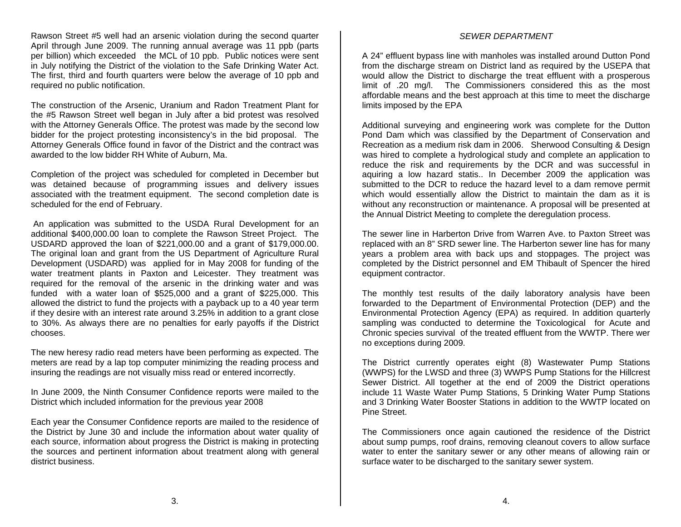Rawson Street #5 well had an arsenic violation during the second quarter April through June 2009. The running annual average was 11 ppb (parts per billion) which exceeded the MCL of 10 ppb. Public notices were sent in July notifying the District of the violation to the Safe Drinking Water Act. The first, third and fourth quarters were below the average of 10 ppb and required no public notification.

The construction of the Arsenic, Uranium and Radon Treatment Plant for the #5 Rawson Street well began in July after a bid protest was resolved with the Attorney Generals Office. The protest was made by the second low bidder for the project protesting inconsistency's in the bid proposal. The Attorney Generals Office found in favor of the District and the contract was awarded to the low bidder RH White of Auburn, Ma.

Completion of the project was scheduled for completed in December but was detained because of programming issues and delivery issues associated with the treatment equipment. The second completion date is scheduled for the end of February.

 An application was submitted to the USDA Rural Development for an additional \$400,000.00 loan to complete the Rawson Street Project. The USDARD approved the loan of \$221,000.00 and a grant of \$179,000.00. The original loan and grant from the US Department of Agriculture Rural Development (USDARD) was applied for in May 2008 for funding of the water treatment plants in Paxton and Leicester. They treatment was required for the removal of the arsenic in the drinking water and was funded with a water loan of \$525,000 and a grant of \$225,000. This allowed the district to fund the projects with a payback up to a 40 year term if they desire with an interest rate around 3.25% in addition to a grant close to 30%. As always there are no penalties for early payoffs if the District chooses.

The new heresy radio read meters have been performing as expected. The meters are read by a lap top computer minimizing the reading process and insuring the readings are not visually miss read or entered incorrectly.

In June 2009, the Ninth Consumer Confidence reports were mailed to the District which included information for the previous year 2008

Each year the Consumer Confidence reports are mailed to the residence of the District by June 30 and include the information about water quality of each source, information about progress the District is making in protecting the sources and pertinent information about treatment along with general district business.

### *SEWER DEPARTMENT*

A 24" effluent bypass line with manholes was installed around Dutton Pond from the discharge stream on District land as required by the USEPA that would allow the District to discharge the treat effluent with a prosperous limit of .20 mg/l. The Commissioners considered this as the most affordable means and the best approach at this time to meet the discharge limits imposed by the EPA

Additional surveying and engineering work was complete for the Dutton Pond Dam which was classified by the Department of Conservation and Recreation as a medium risk dam in 2006. Sherwood Consulting & Design was hired to complete a hydrological study and complete an application to reduce the risk and requirements by the DCR and was successful in aquiring a low hazard statis.. In December 2009 the application was submitted to the DCR to reduce the hazard level to a dam remove permit which would essentially allow the District to maintain the dam as it is without any reconstruction or maintenance. A proposal will be presented at the Annual District Meeting to complete the deregulation process.

The sewer line in Harberton Drive from Warren Ave. to Paxton Street was replaced with an 8" SRD sewer line. The Harberton sewer line has for many years a problem area with back ups and stoppages. The project was completed by the District personnel and EM Thibault of Spencer the hired equipment contractor.

The monthly test results of the daily laboratory analysis have been forwarded to the Department of Environmental Protection (DEP) and the Environmental Protection Agency (EPA) as required. In addition quarterly sampling was conducted to determine the Toxicological for Acute and Chronic species survival of the treated effluent from the WWTP. There wer no exceptions during 2009.

The District currently operates eight (8) Wastewater Pump Stations (WWPS) for the LWSD and three (3) WWPS Pump Stations for the Hillcrest Sewer District. All together at the end of 2009 the District operations include 11 Waste Water Pump Stations, 5 Drinking Water Pump Stations and 3 Drinking Water Booster Stations in addition to the WWTP located on Pine Street.

The Commissioners once again cautioned the residence of the District about sump pumps, roof drains, removing cleanout covers to allow surface water to enter the sanitary sewer or any other means of allowing rain or surface water to be discharged to the sanitary sewer system.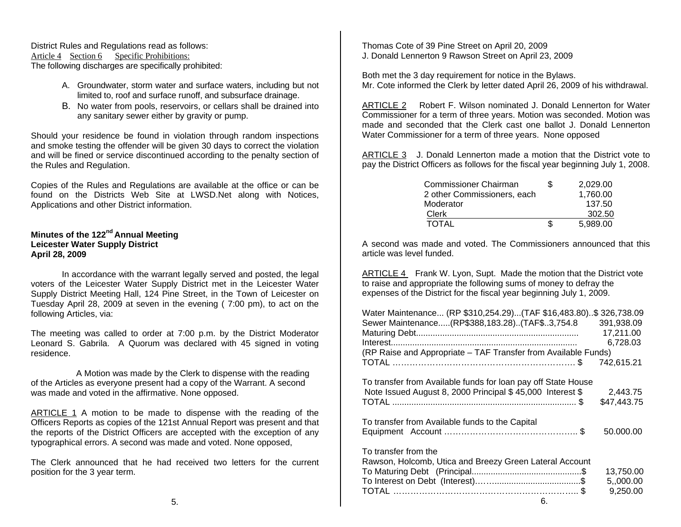District Rules and Regulations read as follows: Article 4 Section 6 Specific Prohibitions: The following discharges are specifically prohibited:

- A. Groundwater, storm water and surface waters, including but not limited to, roof and surface runoff, and subsurface drainage.
- B. No water from pools, reservoirs, or cellars shall be drained into any sanitary sewer either by gravity or pump.

Should your residence be found in violation through random inspections and smoke testing the offender will be given 30 days to correct the violation and will be fined or service discontinued according to the penalty section of the Rules and Regulation.

Copies of the Rules and Regulations are available at the office or can be found on the Districts Web Site at LWSD.Net along with Notices, Applications and other District information.

# **Minutes of the 122nd Annual Meeting Leicester Water Supply District April 28, 2009**

 In accordance with the warrant legally served and posted, the legal voters of the Leicester Water Supply District met in the Leicester Water Supply District Meeting Hall, 124 Pine Street, in the Town of Leicester on Tuesday April 28, 2009 at seven in the evening ( 7:00 pm), to act on the following Articles, via:

The meeting was called to order at 7:00 p.m. by the District Moderator Leonard S. Gabrila. A Quorum was declared with 45 signed in voting residence.

 A Motion was made by the Clerk to dispense with the reading of the Articles as everyone present had a copy of the Warrant. A second was made and voted in the affirmative. None opposed.

ARTICLE 1 A motion to be made to dispense with the reading of the Officers Reports as copies of the 121st Annual Report was present and that the reports of the District Officers are accepted with the exception of any typographical errors. A second was made and voted. None opposed,

The Clerk announced that he had received two letters for the current position for the 3 year term.

Thomas Cote of 39 Pine Street on April 20, 2009 J. Donald Lennerton 9 Rawson Street on April 23, 2009

Both met the 3 day requirement for notice in the Bylaws. Mr. Cote informed the Clerk by letter dated April 26, 2009 of his withdrawal.

ARTICLE 2 Robert F. Wilson nominated J. Donald Lennerton for Water Commissioner for a term of three years. Motion was seconded. Motion was made and seconded that the Clerk cast one ballot J. Donald Lennerton Water Commissioner for a term of three years. None opposed

ARTICLE 3 J. Donald Lennerton made a motion that the District vote to pay the District Officers as follows for the fiscal year beginning July 1, 2008.

| Commissioner Chairman       | 2,029.00 |
|-----------------------------|----------|
| 2 other Commissioners, each | 1,760.00 |
| Moderator                   | 137.50   |
| Clerk                       | 302.50   |
| <b>TOTAL</b>                | 5,989.00 |

A second was made and voted. The Commissioners announced that this article was level funded.

ARTICLE 4 Frank W. Lyon, Supt. Made the motion that the District vote to raise and appropriate the following sums of money to defray the expenses of the District for the fiscal year beginning July 1, 2009.

| Water Maintenance (RP \$310,254.29)(TAF \$16,483.80)\$ 326,738.09 |             |
|-------------------------------------------------------------------|-------------|
| Sewer Maintenance(RP\$388,183.28)(TAF\$3,754.8                    | 391,938.09  |
|                                                                   | 17,211.00   |
|                                                                   | 6,728.03    |
| (RP Raise and Appropriate - TAF Transfer from Available Funds)    |             |
|                                                                   | 742,615.21  |
|                                                                   |             |
| To transfer from Available funds for loan pay off State House     |             |
| Note Issued August 8, 2000 Principal \$45,000 Interest \$         | 2,443.75    |
|                                                                   | \$47,443.75 |
|                                                                   |             |
| To transfer from Available funds to the Capital                   |             |
|                                                                   | 50.000.00   |
|                                                                   |             |
| To transfer from the                                              |             |
| Rawson, Holcomb, Utica and Breezy Green Lateral Account           |             |
|                                                                   | 13,750.00   |
|                                                                   | 5,,000.00   |
|                                                                   | 9,250.00    |
| $\sim$ $\sim$                                                     |             |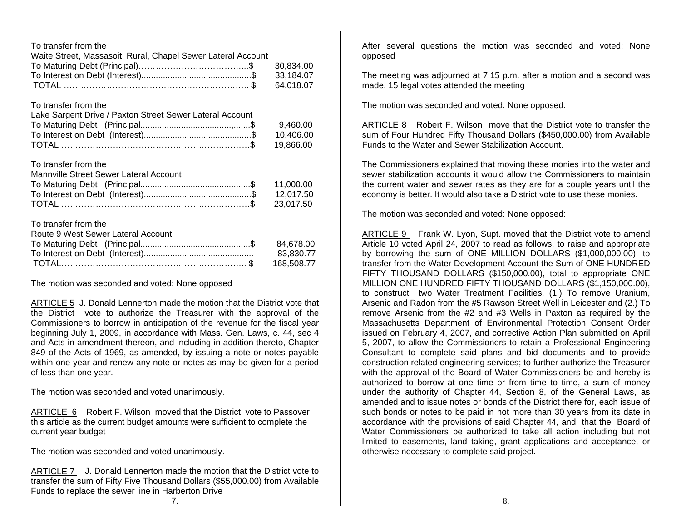|   |   | To transfer from the |  |
|---|---|----------------------|--|
| . | . |                      |  |

| Waite Street, Massasoit, Rural, Chapel Sewer Lateral Account |           |
|--------------------------------------------------------------|-----------|
|                                                              |           |
|                                                              | 33.184.07 |
|                                                              | 64.018.07 |

To transfer from the

| Lake Sargent Drive / Paxton Street Sewer Lateral Account |           |
|----------------------------------------------------------|-----------|
|                                                          | 9.460.00  |
|                                                          | 10.406.00 |
|                                                          | 19.866.00 |

To transfer from the

| Mannville Street Sewer Lateral Account |  |
|----------------------------------------|--|
|                                        |  |
|                                        |  |
|                                        |  |

To transfer from the

| Route 9 West Sewer Lateral Account |            |
|------------------------------------|------------|
|                                    |            |
|                                    | 83.830.77  |
|                                    | 168.508.77 |

The motion was seconded and voted: None opposed

ARTICLE 5 J. Donald Lennerton made the motion that the District vote that the District vote to authorize the Treasurer with the approval of the Commissioners to borrow in anticipation of the revenue for the fiscal year beginning July 1, 2009, in accordance with Mass. Gen. Laws, c. 44, sec 4 and Acts in amendment thereon, and including in addition thereto, Chapter 849 of the Acts of 1969, as amended, by issuing a note or notes payable within one year and renew any note or notes as may be given for a period of less than one year.

The motion was seconded and voted unanimously.

ARTICLE 6 Robert F. Wilson moved that the District vote to Passover this article as the current budget amounts were sufficient to complete the current year budget

The motion was seconded and voted unanimously.

ARTICLE 7 J. Donald Lennerton made the motion that the District vote to transfer the sum of Fifty Five Thousand Dollars (\$55,000.00) from Available Funds to replace the sewer line in Harberton Drive

After several questions the motion was seconded and voted: None opposed

The meeting was adjourned at 7:15 p.m. after a motion and a second was made. 15 legal votes attended the meeting

The motion was seconded and voted: None opposed:

ARTICLE 8 Robert F. Wilson move that the District vote to transfer the sum of Four Hundred Fifty Thousand Dollars (\$450,000.00) from Available Funds to the Water and Sewer Stabilization Account.

The Commissioners explained that moving these monies into the water and sewer stabilization accounts it would allow the Commissioners to maintain the current water and sewer rates as they are for a couple years until the economy is better. It would also take a District vote to use these monies.

The motion was seconded and voted: None opposed:

ARTICLE 9 Frank W. Lyon, Supt. moved that the District vote to amend Article 10 voted April 24, 2007 to read as follows, to raise and appropriate by borrowing the sum of ONE MILLION DOLLARS (\$1,000,000.00), to transfer from the Water Development Account the Sum of ONE HUNDRED FIFTY THOUSAND DOLLARS (\$150,000.00), total to appropriate ONE MILLION ONE HUNDRED FIFTY THOUSAND DOLLARS (\$1,150,000.00), to construct two Water Treatment Facilities, (1.) To remove Uranium, Arsenic and Radon from the #5 Rawson Street Well in Leicester and (2.) To remove Arsenic from the #2 and #3 Wells in Paxton as required by the Massachusetts Department of Environmental Protection Consent Order issued on February 4, 2007, and corrective Action Plan submitted on April 5, 2007, to allow the Commissioners to retain a Professional Engineering Consultant to complete said plans and bid documents and to provide construction related engineering services; to further authorize the Treasurer with the approval of the Board of Water Commissioners be and hereby is authorized to borrow at one time or from time to time, a sum of money under the authority of Chapter 44, Section 8, of the General Laws, as amended and to issue notes or bonds of the District there for, each issue of such bonds or notes to be paid in not more than 30 years from its date in accordance with the provisions of said Chapter 44, and that the Board of Water Commissioners be authorized to take all action including but not limited to easements, land taking, grant applications and acceptance, or otherwise necessary to complete said project.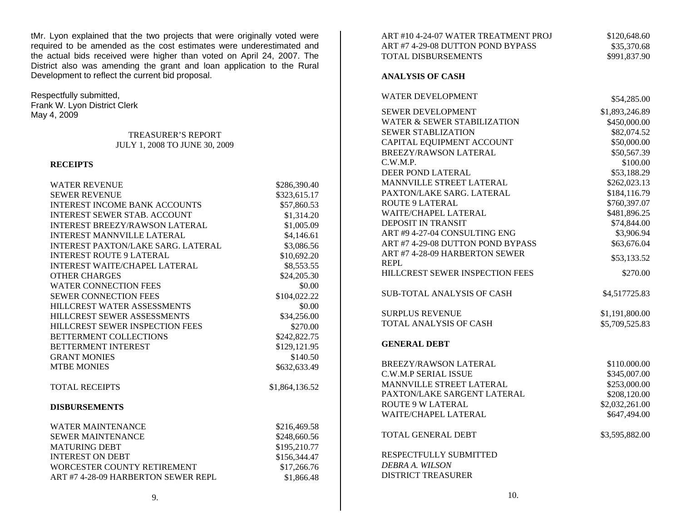tMr. Lyon explained that the two projects that were originally voted were required to be amended as the cost estimates were underestimated and the actual bids received were higher than voted on April 24, 2007. The District also was amending the grant and loan application to the Rural Development to reflect the current bid proposal.

Respectfully submitted,

Frank W. Lyon District Clerk May 4, 2009

#### TREASURER'S REPORT JULY 1, 2008 TO JUNE 30, 2009

#### **RECEIPTS**

| <b>WATER REVENUE</b>                      | \$286,390.40   |
|-------------------------------------------|----------------|
| <b>SEWER REVENUE</b>                      | \$323,615.17   |
| <b>INTEREST INCOME BANK ACCOUNTS</b>      | \$57,860.53    |
| <b>INTEREST SEWER STAB. ACCOUNT</b>       | \$1,314.20     |
| <b>INTEREST BREEZY/RAWSON LATERAL</b>     | \$1,005.09     |
| <b>INTEREST MANNVILLE LATERAL</b>         | \$4,146.61     |
| <b>INTEREST PAXTON/LAKE SARG. LATERAL</b> | \$3,086.56     |
| <b>INTEREST ROUTE 9 LATERAL</b>           | \$10,692.20    |
| <b>INTEREST WAITE/CHAPEL LATERAL</b>      | \$8,553.55     |
| <b>OTHER CHARGES</b>                      | \$24,205.30    |
| <b>WATER CONNECTION FEES</b>              | \$0.00         |
| <b>SEWER CONNECTION FEES</b>              | \$104,022.22   |
| HILLCREST WATER ASSESSMENTS               | \$0.00         |
| HILLCREST SEWER ASSESSMENTS               | \$34,256.00    |
| HILLCREST SEWER INSPECTION FEES           | \$270.00       |
| <b>BETTERMENT COLLECTIONS</b>             | \$242,822.75   |
| <b>BETTERMENT INTEREST</b>                | \$129,121.95   |
| <b>GRANT MONIES</b>                       | \$140.50       |
| <b>MTBE MONIES</b>                        | \$632,633.49   |
| <b>TOTAL RECEIPTS</b>                     | \$1,864,136.52 |
| <b>DISBURSEMENTS</b>                      |                |
| <b>WATER MAINTENANCE</b>                  | \$216,469.58   |
| <b>SEWER MAINTENANCE</b>                  | \$248,660.56   |
| <b>MATURING DEBT</b>                      | \$195,210.77   |
| <b>INTEREST ON DEBT</b>                   | \$156,344.47   |
| WORCESTER COUNTY RETIREMENT               | \$17,266.76    |
| ART #7 4-28-09 HARBERTON SEWER REPL       | \$1,866.48     |
|                                           |                |

| ART #10 4-24-07 WATER TREATMENT PROJ | \$120,648.60   |
|--------------------------------------|----------------|
| ART #7 4-29-08 DUTTON POND BYPASS    | \$35,370.68    |
| TOTAL DISBURSEMENTS                  | \$991,837.90   |
|                                      |                |
| <b>ANALYSIS OF CASH</b>              |                |
| <b>WATER DEVELOPMENT</b>             | \$54,285.00    |
| <b>SEWER DEVELOPMENT</b>             | \$1,893,246.89 |
| WATER & SEWER STABILIZATION          | \$450,000.00   |
| <b>SEWER STABLIZATION</b>            | \$82,074.52    |
| CAPITAL EQUIPMENT ACCOUNT            | \$50,000.00    |
| BREEZY/RAWSON LATERAL                | \$50,567.39    |
| C.W.M.P.                             | \$100.00       |
| DEER POND LATERAL                    | \$53,188.29    |
| MANNVILLE STREET LATERAL             | \$262,023.13   |
| PAXTON/LAKE SARG. LATERAL            | \$184,116.79   |
| <b>ROUTE 9 LATERAL</b>               | \$760,397.07   |
| <b>WAITE/CHAPEL LATERAL</b>          | \$481,896.25   |
| <b>DEPOSIT IN TRANSIT</b>            | \$74,844.00    |
| ART #9 4-27-04 CONSULTING ENG        | \$3,906.94     |
| ART #7 4-29-08 DUTTON POND BYPASS    | \$63,676.04    |
| ART #7 4-28-09 HARBERTON SEWER       |                |
| <b>REPL</b>                          | \$53,133.52    |
| HILLCREST SEWER INSPECTION FEES      | \$270.00       |
| <b>SUB-TOTAL ANALYSIS OF CASH</b>    | \$4,517725.83  |
| <b>SURPLUS REVENUE</b>               | \$1,191,800.00 |
| TOTAL ANALYSIS OF CASH               | \$5,709,525.83 |
| <b>GENERAL DEBT</b>                  |                |
| BREEZY/RAWSON LATERAL                | \$110.000.00   |
| C.W.M.P SERIAL ISSUE                 | \$345,007.00   |
| MANNVILLE STREET LATERAL             | \$253,000.00   |
| PAXTON/LAKE SARGENT LATERAL          | \$208,120.00   |
| <b>ROUTE 9 W LATERAL</b>             | \$2,032,261.00 |
| WAITE/CHAPEL LATERAL                 | \$647,494.00   |
| <b>TOTAL GENERAL DEBT</b>            | \$3,595,882.00 |
| RESPECTFULLY SUBMITTED               |                |
| DEBRA A. WILSON                      |                |
| <b>DISTRICT TREASURER</b>            |                |
|                                      |                |